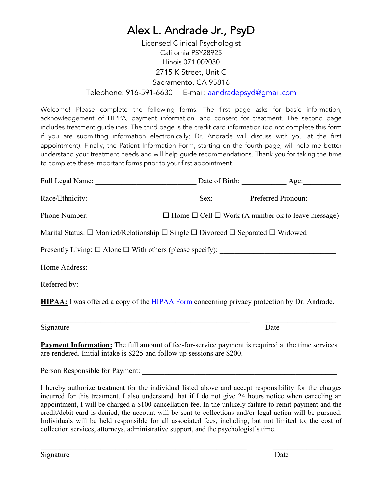Licensed Clinical Psychologist California PSY28925 Illinois 071.009030 2715 K Street, Unit C Sacramento, CA 95816 Telephone: 916-591-6630 E-mail: aandradepsyd@gmail.com

Welcome! Please complete the following forms. The first page asks for basic information, acknowledgement of HIPPA, payment information, and consent for treatment. The second page includes treatment guidelines. The third page is the credit card information (do not complete this form if you are submitting information electronically; Dr. Andrade will discuss with you at the first appointment). Finally, the Patient Information Form, starting on the fourth page, will help me better understand your treatment needs and will help guide recommendations. Thank you for taking the time to complete these important forms prior to your first appointment.

|                                                                                                           | Sex: Preferred Pronoun: |
|-----------------------------------------------------------------------------------------------------------|-------------------------|
| Phone Number: $\Box$ $\Box$ Home $\Box$ Cell $\Box$ Work (A number ok to leave message)                   |                         |
| Marital Status: $\Box$ Married/Relationship $\Box$ Single $\Box$ Divorced $\Box$ Separated $\Box$ Widowed |                         |
|                                                                                                           |                         |
|                                                                                                           |                         |
|                                                                                                           |                         |
| <b>HIPAA:</b> I was offered a copy of the HIPAA Form concerning privacy protection by Dr. Andrade.        |                         |

Signature Date

**Payment Information:** The full amount of fee-for-service payment is required at the time services are rendered. Initial intake is \$225 and follow up sessions are \$200.

Person Responsible for Payment:

I hereby authorize treatment for the individual listed above and accept responsibility for the charges incurred for this treatment. I also understand that if I do not give 24 hours notice when canceling an appointment, I will be charged a \$100 cancellation fee. In the unlikely failure to remit payment and the credit/debit card is denied, the account will be sent to collections and/or legal action will be pursued. Individuals will be held responsible for all associated fees, including, but not limited to, the cost of collection services, attorneys, administrative support, and the psychologist's time.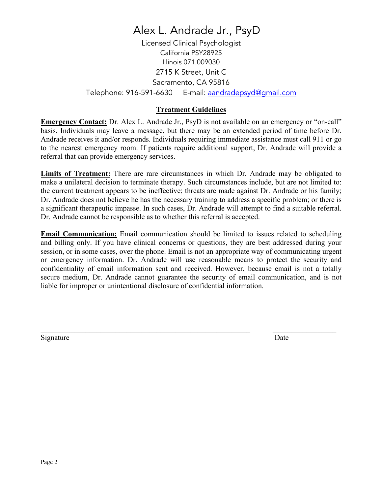Licensed Clinical Psychologist California PSY28925 Illinois 071.009030 2715 K Street, Unit C Sacramento, CA 95816 Telephone: 916-591-6630 E-mail: aandradepsyd@gmail.com

### **Treatment Guidelines**

**Emergency Contact:** Dr. Alex L. Andrade Jr., PsyD is not available on an emergency or "on-call" basis. Individuals may leave a message, but there may be an extended period of time before Dr. Andrade receives it and/or responds. Individuals requiring immediate assistance must call 911 or go to the nearest emergency room. If patients require additional support, Dr. Andrade will provide a referral that can provide emergency services.

**Limits of Treatment:** There are rare circumstances in which Dr. Andrade may be obligated to make a unilateral decision to terminate therapy. Such circumstances include, but are not limited to: the current treatment appears to be ineffective; threats are made against Dr. Andrade or his family; Dr. Andrade does not believe he has the necessary training to address a specific problem; or there is a significant therapeutic impasse. In such cases, Dr. Andrade will attempt to find a suitable referral. Dr. Andrade cannot be responsible as to whether this referral is accepted.

**Email Communication:** Email communication should be limited to issues related to scheduling and billing only. If you have clinical concerns or questions, they are best addressed during your session, or in some cases, over the phone. Email is not an appropriate way of communicating urgent or emergency information. Dr. Andrade will use reasonable means to protect the security and confidentiality of email information sent and received. However, because email is not a totally secure medium, Dr. Andrade cannot guarantee the security of email communication, and is not liable for improper or unintentional disclosure of confidential information.

Signature Date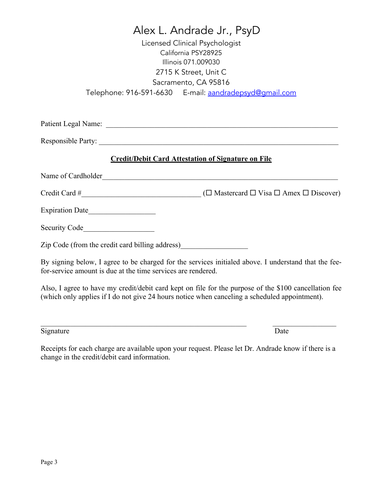|                                                              | Alex L. Andrade Jr., PsyD                                                                                                                                                                              |
|--------------------------------------------------------------|--------------------------------------------------------------------------------------------------------------------------------------------------------------------------------------------------------|
|                                                              | Licensed Clinical Psychologist                                                                                                                                                                         |
|                                                              | California PSY28925                                                                                                                                                                                    |
|                                                              | Illinois 071.009030                                                                                                                                                                                    |
|                                                              | 2715 K Street, Unit C                                                                                                                                                                                  |
|                                                              | Sacramento, CA 95816                                                                                                                                                                                   |
|                                                              | Telephone: 916-591-6630 E-mail: aandradepsyd@qmail.com                                                                                                                                                 |
|                                                              |                                                                                                                                                                                                        |
|                                                              | Responsible Party:                                                                                                                                                                                     |
|                                                              | <b>Credit/Debit Card Attestation of Signature on File</b>                                                                                                                                              |
| Name of Cardholder                                           |                                                                                                                                                                                                        |
|                                                              |                                                                                                                                                                                                        |
|                                                              |                                                                                                                                                                                                        |
| Security Code                                                |                                                                                                                                                                                                        |
| Zip Code (from the credit card billing address)              |                                                                                                                                                                                                        |
| for-service amount is due at the time services are rendered. | By signing below, I agree to be charged for the services initialed above. I understand that the fee-                                                                                                   |
|                                                              | Also, I agree to have my credit/debit card kept on file for the purpose of the \$100 cancellation fee<br>(which only applies if I do not give 24 hours notice when canceling a scheduled appointment). |
| Signature                                                    | Date                                                                                                                                                                                                   |

Receipts for each charge are available upon your request. Please let Dr. Andrade know if there is a change in the credit/debit card information.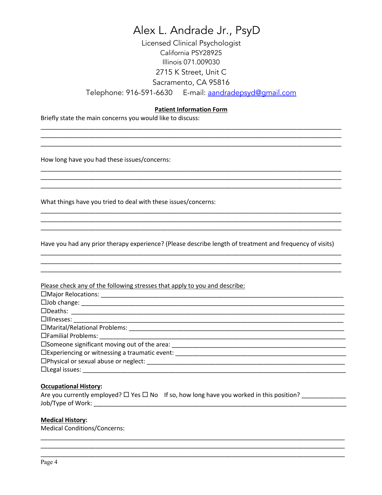Licensed Clinical Psychologist California PSY28925 Illinois 071.009030 2715 K Street, Unit C Sacramento, CA 95816 Telephone: 916-591-6630 E-mail: aandradepsyd@qmail.com

#### **Patient Information Form**

Briefly state the main concerns you would like to discuss:

How long have you had these issues/concerns:

What things have you tried to deal with these issues/concerns:

Have you had any prior therapy experience? (Please describe length of treatment and frequency of visits)

| Please check any of the following stresses that apply to you and describe:       |
|----------------------------------------------------------------------------------|
|                                                                                  |
|                                                                                  |
|                                                                                  |
|                                                                                  |
|                                                                                  |
|                                                                                  |
|                                                                                  |
| □Experiencing or witnessing a traumatic event: _________________________________ |
|                                                                                  |
| $\Box$ Legal issues:                                                             |

#### **Occupational History:**

|                   | Are you currently employed? $\square$ Yes $\square$ No If so, how long have you worked in this position? |
|-------------------|----------------------------------------------------------------------------------------------------------|
| Job/Type of Work: |                                                                                                          |

#### **Medical History:**

**Medical Conditions/Concerns:**